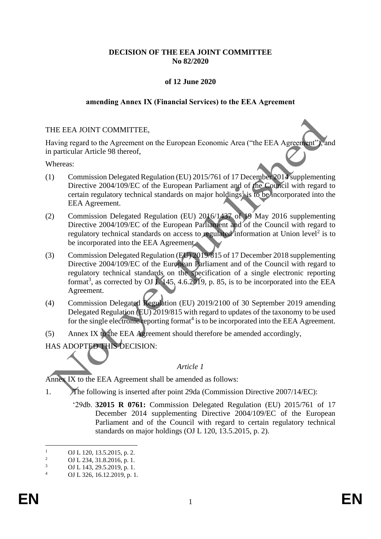# **DECISION OF THE EEA JOINT COMMITTEE No 82/2020**

# **of 12 June 2020**

### **amending Annex IX (Financial Services) to the EEA Agreement**

### THE EEA JOINT COMMITTEE,

Having regard to the Agreement on the European Economic Area ("the EEA Agreement"), and in particular Article 98 thereof,

Whereas:

- (1) Commission Delegated Regulation (EU) 2015/761 of 17 December 2014 supplementing Directive 2004/109/EC of the European Parliament and of the Council with regard to certain regulatory technical standards on major holdings<sup>1</sup> is to be incorporated into the EEA Agreement.
- (2) Commission Delegated Regulation (EU) 2016/1437 of 19 May 2016 supplementing Directive 2004/109/EC of the European Parliament and of the Council with regard to regulatory technical standards on access to regulated information at Union level<sup>2</sup> is to be incorporated into the EEA Agreement.
- (3) Commission Delegated Regulation (EU) 2019/815 of 17 December 2018 supplementing Directive 2004/109/EC of the European Parliament and of the Council with regard to regulatory technical standards on the specification of a single electronic reporting format<sup>3</sup>, as corrected by OJ  $L$  145, 4.6.2019, p. 85, is to be incorporated into the EEA Agreement.
- (4) Commission Delegated Regulation (EU) 2019/2100 of 30 September 2019 amending Delegated Regulation (EU) 2019/815 with regard to updates of the taxonomy to be used for the single electronic reporting format<sup>4</sup> is to be incorporated into the EEA Agreement.
- (5) Annex IX to the EEA Agreement should therefore be amended accordingly,
- HAS ADOPTED THIS DECISION:

## *Article 1*

Annex IX to the EEA Agreement shall be amended as follows:

- 1. The following is inserted after point 29da (Commission Directive 2007/14/EC):
	- '29db. **32015 R 0761:** Commission Delegated Regulation (EU) 2015/761 of 17 December 2014 supplementing Directive 2004/109/EC of the European Parliament and of the Council with regard to certain regulatory technical standards on major holdings (OJ L 120, 13.5.2015, p. 2).

 $\frac{1}{2}$  OJ L 120, 13.5.2015, p. 2.

<sup>&</sup>lt;sup>2</sup> OJ L 234, 31.8.2016, p. 1.<br><sup>3</sup> OJ L 142, 20.5.2010, p. 1.

 $\frac{3}{4}$  OJ L 143, 29.5.2019, p. 1.

OJ L 326, 16.12.2019, p. 1.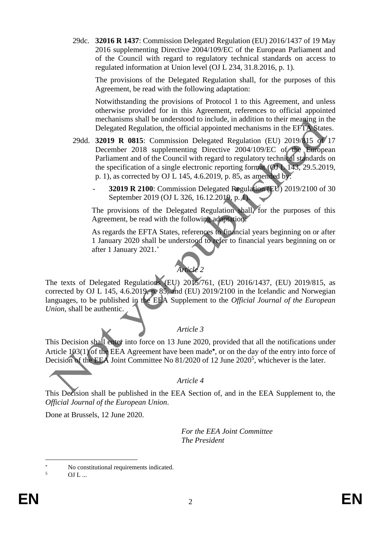29dc. **32016 R 1437**: Commission Delegated Regulation (EU) 2016/1437 of 19 May 2016 supplementing Directive 2004/109/EC of the European Parliament and of the Council with regard to regulatory technical standards on access to regulated information at Union level (OJ L 234, 31.8.2016, p. 1).

The provisions of the Delegated Regulation shall, for the purposes of this Agreement, be read with the following adaptation:

Notwithstanding the provisions of Protocol 1 to this Agreement, and unless otherwise provided for in this Agreement, references to official appointed mechanisms shall be understood to include, in addition to their meaning in the Delegated Regulation, the official appointed mechanisms in the EFTA States.

29dd. **32019 R 0815**: Commission Delegated Regulation (EU) 2019/815 of 17 December 2018 supplementing Directive 2004/109/EC of the European Parliament and of the Council with regard to regulatory technical standards on the specification of a single electronic reporting format (OJ L 143, 29.5.2019, p. 1), as corrected by OJ L 145, 4.6.2019, p. 85, as amended by:

> - **32019 R 2100**: Commission Delegated Regulation (EU) 2019/2100 of 30 September 2019 (OJ L 326, 16.12.2019, p. **A**).

The provisions of the Delegated Regulation shall, for the purposes of this Agreement, be read with the following adaptation:

As regards the EFTA States, references to financial years beginning on or after 1 January 2020 shall be understood to refer to financial years beginning on or after 1 January 2021.'



The texts of Delegated Regulations (EU) 2015/761, (EU) 2016/1437, (EU) 2019/815, as corrected by OJ L 145, 4.6.2019, p. 85, and (EU)  $2019/2100$  in the Icelandic and Norwegian languages, to be published in the EEA Supplement to the *Official Journal of the European Union*, shall be authentic.

## *Article 3*

This Decision shall enter into force on 13 June 2020, provided that all the notifications under Article 103(1) of the EEA Agreement have been made\*, or on the day of the entry into force of Decision of the EEA Joint Committee No 81/2020 of 12 June 2020<sup>5</sup>, whichever is the later.

*Article 4*

This Decision shall be published in the EEA Section of, and in the EEA Supplement to, the *Official Journal of the European Union*.

Done at Brussels, 12 June 2020.

*For the EEA Joint Committee The President*

<sup>\*</sup> No constitutional requirements indicated.

 $OJ L$  ...